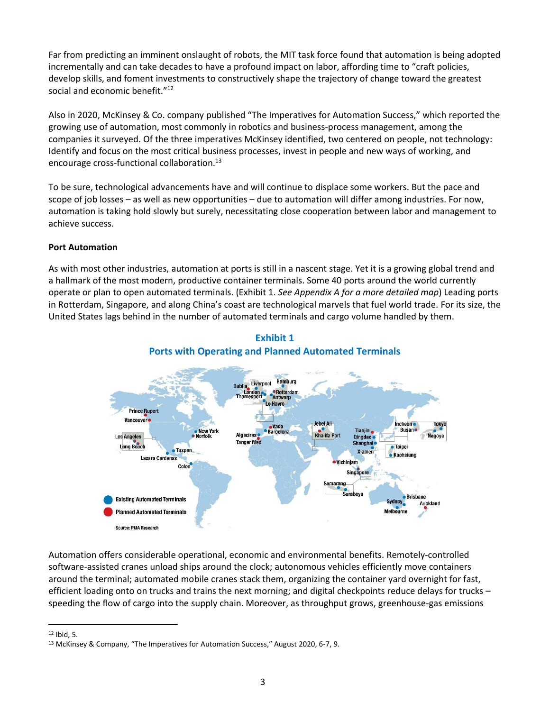Far from predicting an imminent onslaught of robots, the MIT task force found that automation is being adopted incrementally and can take decades to have a profound impact on labor, affording time to "craft policies, develop skills, and foment investments to constructively shape the trajectory of change toward the greatest social and economic benefit."<sup>12</sup>

Also in 2020, McKinsey & Co. company published "The Imperatives for Automation Success," which reported the growing use of automation, most commonly in robotics and business-process management, among the companies it surveyed. Of the three imperatives McKinsey identified, two centered on people, not technology: Identify and focus on the most critical business processes, invest in people and new ways of working, and encourage cross-functional collaboration.<sup>13</sup>

To be sure, technological advancements have and will continue to displace some workers. But the pace and scope of job losses – as well as new opportunities – due to automation will differ among industries. For now, automation is taking hold slowly but surely, necessitating close cooperation between labor and management to achieve success.

#### **Port Automation**

As with most other industries, automation at ports is still in a nascent stage. Yet it is a growing global trend and a hallmark of the most modern, productive container terminals. Some 40 ports around the world currently operate or plan to open automated terminals. (Exhibit 1. *See Appendix A for a more detailed map*) Leading ports in Rotterdam, Singapore, and along China's coast are technological marvels that fuel world trade. For its size, the United States lags behind in the number of automated terminals and cargo volume handled by them.



### **Exhibit 1 Ports with Operating and Planned Automated Terminals**

Automation offers considerable operational, economic and environmental benefits. Remotely-controlled software-assisted cranes unload ships around the clock; autonomous vehicles efficiently move containers around the terminal; automated mobile cranes stack them, organizing the container yard overnight for fast, efficient loading onto on trucks and trains the next morning; and digital checkpoints reduce delays for trucks – speeding the flow of cargo into the supply chain. Moreover, as throughput grows, greenhouse-gas emissions

<sup>12</sup> Ibid, 5.

<sup>13</sup> McKinsey & Company, "The Imperatives for Automation Success," August 2020, 6-7, 9.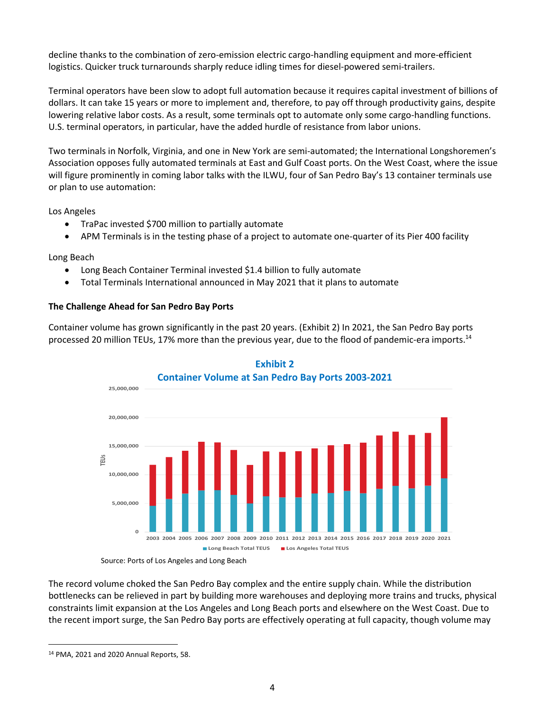decline thanks to the combination of zero-emission electric cargo-handling equipment and more-efficient logistics. Quicker truck turnarounds sharply reduce idling times for diesel-powered semi-trailers.

Terminal operators have been slow to adopt full automation because it requires capital investment of billions of dollars. It can take 15 years or more to implement and, therefore, to pay off through productivity gains, despite lowering relative labor costs. As a result, some terminals opt to automate only some cargo-handling functions. U.S. terminal operators, in particular, have the added hurdle of resistance from labor unions.

Two terminals in Norfolk, Virginia, and one in New York are semi-automated; the International Longshoremen's Association opposes fully automated terminals at East and Gulf Coast ports. On the West Coast, where the issue will figure prominently in coming labor talks with the ILWU, four of San Pedro Bay's 13 container terminals use or plan to use automation:

Los Angeles

- TraPac invested \$700 million to partially automate
- APM Terminals is in the testing phase of a project to automate one-quarter of its Pier 400 facility

Long Beach

- Long Beach Container Terminal invested \$1.4 billion to fully automate
- Total Terminals International announced in May 2021 that it plans to automate

#### **The Challenge Ahead for San Pedro Bay Ports**

Container volume has grown significantly in the past 20 years. (Exhibit 2) In 2021, the San Pedro Bay ports processed 20 million TEUs, 17% more than the previous year, due to the flood of pandemic-era imports.<sup>14</sup>





Source: Ports of Los Angeles and Long Beach

The record volume choked the San Pedro Bay complex and the entire supply chain. While the distribution bottlenecks can be relieved in part by building more warehouses and deploying more trains and trucks, physical constraints limit expansion at the Los Angeles and Long Beach ports and elsewhere on the West Coast. Due to the recent import surge, the San Pedro Bay ports are effectively operating at full capacity, though volume may

<sup>14</sup> PMA, 2021 and 2020 Annual Reports, 58.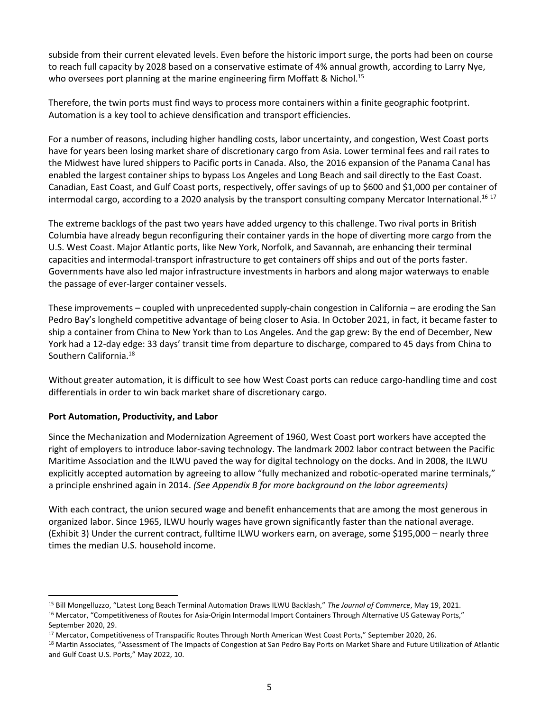subside from their current elevated levels. Even before the historic import surge, the ports had been on course to reach full capacity by 2028 based on a conservative estimate of 4% annual growth, according to Larry Nye, who oversees port planning at the marine engineering firm Moffatt & Nichol.<sup>15</sup>

Therefore, the twin ports must find ways to process more containers within a finite geographic footprint. Automation is a key tool to achieve densification and transport efficiencies.

For a number of reasons, including higher handling costs, labor uncertainty, and congestion, West Coast ports have for years been losing market share of discretionary cargo from Asia. Lower terminal fees and rail rates to the Midwest have lured shippers to Pacific ports in Canada. Also, the 2016 expansion of the Panama Canal has enabled the largest container ships to bypass Los Angeles and Long Beach and sail directly to the East Coast. Canadian, East Coast, and Gulf Coast ports, respectively, offer savings of up to \$600 and \$1,000 per container of intermodal cargo, according to a 2020 analysis by the transport consulting company Mercator International.<sup>16 17</sup>

The extreme backlogs of the past two years have added urgency to this challenge. Two rival ports in British Columbia have already begun reconfiguring their container yards in the hope of diverting more cargo from the U.S. West Coast. Major Atlantic ports, like New York, Norfolk, and Savannah, are enhancing their terminal capacities and intermodal-transport infrastructure to get containers off ships and out of the ports faster. Governments have also led major infrastructure investments in harbors and along major waterways to enable the passage of ever-larger container vessels.

These improvements – coupled with unprecedented supply-chain congestion in California – are eroding the San Pedro Bay's longheld competitive advantage of being closer to Asia. In October 2021, in fact, it became faster to ship a container from China to New York than to Los Angeles. And the gap grew: By the end of December, New York had a 12-day edge: 33 days' transit time from departure to discharge, compared to 45 days from China to Southern California.<sup>18</sup>

Without greater automation, it is difficult to see how West Coast ports can reduce cargo-handling time and cost differentials in order to win back market share of discretionary cargo.

#### **Port Automation, Productivity, and Labor**

Since the Mechanization and Modernization Agreement of 1960, West Coast port workers have accepted the right of employers to introduce labor-saving technology. The landmark 2002 labor contract between the Pacific Maritime Association and the ILWU paved the way for digital technology on the docks. And in 2008, the ILWU explicitly accepted automation by agreeing to allow "fully mechanized and robotic-operated marine terminals," a principle enshrined again in 2014. *(See Appendix B for more background on the labor agreements)*

With each contract, the union secured wage and benefit enhancements that are among the most generous in organized labor. Since 1965, ILWU hourly wages have grown significantly faster than the national average. (Exhibit 3) Under the current contract, fulltime ILWU workers earn, on average, some \$195,000 – nearly three times the median U.S. household income.

<sup>15</sup> Bill Mongelluzzo, "Latest Long Beach Terminal Automation Draws ILWU Backlash," *The Journal of Commerce*, May 19, 2021.

<sup>&</sup>lt;sup>16</sup> Mercator, "Competitiveness of Routes for Asia-Origin Intermodal Import Containers Through Alternative US Gateway Ports," September 2020, 29.

<sup>17</sup> Mercator, Competitiveness of Transpacific Routes Through North American West Coast Ports," September 2020, 26.

<sup>&</sup>lt;sup>18</sup> Martin Associates, "Assessment of The Impacts of Congestion at San Pedro Bay Ports on Market Share and Future Utilization of Atlantic and Gulf Coast U.S. Ports," May 2022, 10.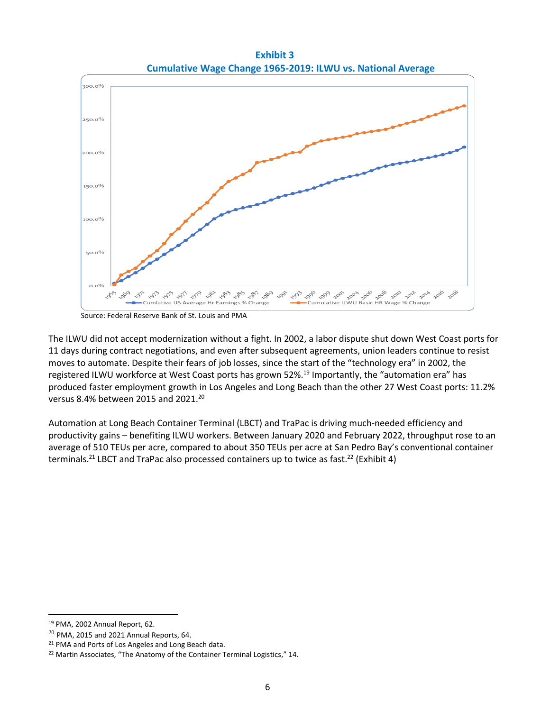**Exhibit 3 Cumulative Wage Change 1965-2019: ILWU vs. National Average**



Source: Federal Reserve Bank of St. Louis and PMA

The ILWU did not accept modernization without a fight. In 2002, a labor dispute shut down West Coast ports for 11 days during contract negotiations, and even after subsequent agreements, union leaders continue to resist moves to automate. Despite their fears of job losses, since the start of the "technology era" in 2002, the registered ILWU workforce at West Coast ports has grown 52%.<sup>19</sup> Importantly, the "automation era" has produced faster employment growth in Los Angeles and Long Beach than the other 27 West Coast ports: 11.2% versus 8.4% between 2015 and 2021.<sup>20</sup>

Automation at Long Beach Container Terminal (LBCT) and TraPac is driving much-needed efficiency and productivity gains – benefiting ILWU workers. Between January 2020 and February 2022, throughput rose to an average of 510 TEUs per acre, compared to about 350 TEUs per acre at San Pedro Bay's conventional container terminals.<sup>21</sup> LBCT and TraPac also processed containers up to twice as fast.<sup>22</sup> (Exhibit 4)

<sup>19</sup> PMA, 2002 Annual Report, 62.

 $20$  PMA, 2015 and 2021 Annual Reports, 64.

<sup>21</sup> PMA and Ports of Los Angeles and Long Beach data.

<sup>&</sup>lt;sup>22</sup> Martin Associates, "The Anatomy of the Container Terminal Logistics," 14.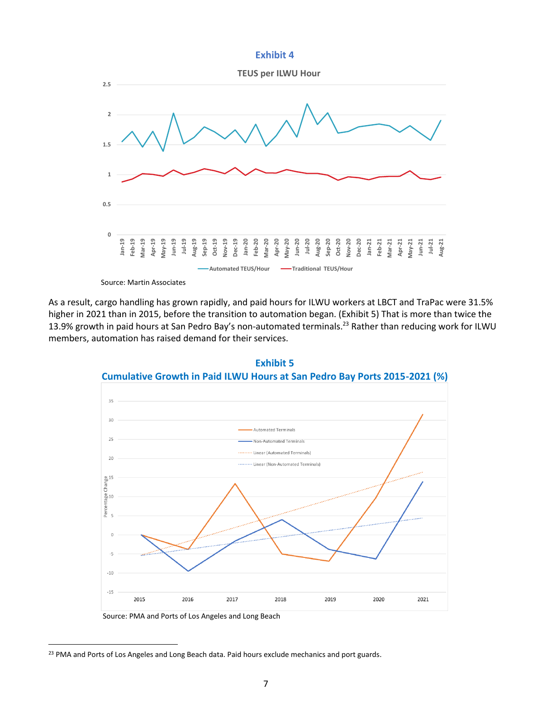#### **Exhibit 4**



Source: Martin Associates

As a result, cargo handling has grown rapidly, and paid hours for ILWU workers at LBCT and TraPac were 31.5% higher in 2021 than in 2015, before the transition to automation began. (Exhibit 5) That is more than twice the 13.9% growth in paid hours at San Pedro Bay's non-automated terminals.<sup>23</sup> Rather than reducing work for ILWU members, automation has raised demand for their services.





Source: PMA and Ports of Los Angeles and Long Beach

<sup>&</sup>lt;sup>23</sup> PMA and Ports of Los Angeles and Long Beach data. Paid hours exclude mechanics and port guards.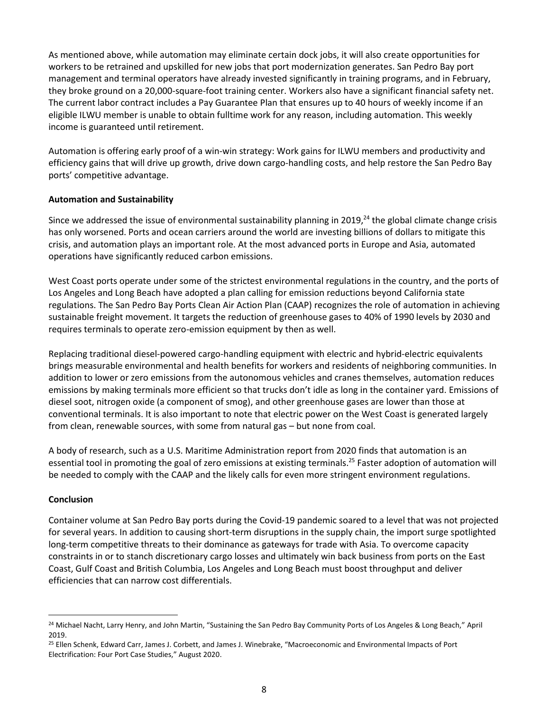As mentioned above, while automation may eliminate certain dock jobs, it will also create opportunities for workers to be retrained and upskilled for new jobs that port modernization generates. San Pedro Bay port management and terminal operators have already invested significantly in training programs, and in February, they broke ground on a 20,000-square-foot training center. Workers also have a significant financial safety net. The current labor contract includes a Pay Guarantee Plan that ensures up to 40 hours of weekly income if an eligible ILWU member is unable to obtain fulltime work for any reason, including automation. This weekly income is guaranteed until retirement.

Automation is offering early proof of a win-win strategy: Work gains for ILWU members and productivity and efficiency gains that will drive up growth, drive down cargo-handling costs, and help restore the San Pedro Bay ports' competitive advantage.

#### **Automation and Sustainability**

Since we addressed the issue of environmental sustainability planning in 2019,<sup>24</sup> the global climate change crisis has only worsened. Ports and ocean carriers around the world are investing billions of dollars to mitigate this crisis, and automation plays an important role. At the most advanced ports in Europe and Asia, automated operations have significantly reduced carbon emissions.

West Coast ports operate under some of the strictest environmental regulations in the country, and the ports of Los Angeles and Long Beach have adopted a plan calling for emission reductions beyond California state regulations. The San Pedro Bay Ports Clean Air Action Plan (CAAP) recognizes the role of automation in achieving sustainable freight movement. It targets the reduction of greenhouse gases to 40% of 1990 levels by 2030 and requires terminals to operate zero-emission equipment by then as well.

Replacing traditional diesel-powered cargo-handling equipment with electric and hybrid-electric equivalents brings measurable environmental and health benefits for workers and residents of neighboring communities. In addition to lower or zero emissions from the autonomous vehicles and cranes themselves, automation reduces emissions by making terminals more efficient so that trucks don't idle as long in the container yard. Emissions of diesel soot, nitrogen oxide (a component of smog), and other greenhouse gases are lower than those at conventional terminals. It is also important to note that electric power on the West Coast is generated largely from clean, renewable sources, with some from natural gas – but none from coal.

A body of research, such as a U.S. Maritime Administration report from 2020 finds that automation is an essential tool in promoting the goal of zero emissions at existing terminals.<sup>25</sup> Faster adoption of automation will be needed to comply with the CAAP and the likely calls for even more stringent environment regulations.

#### **Conclusion**

Container volume at San Pedro Bay ports during the Covid-19 pandemic soared to a level that was not projected for several years. In addition to causing short-term disruptions in the supply chain, the import surge spotlighted long-term competitive threats to their dominance as gateways for trade with Asia. To overcome capacity constraints in or to stanch discretionary cargo losses and ultimately win back business from ports on the East Coast, Gulf Coast and British Columbia, Los Angeles and Long Beach must boost throughput and deliver efficiencies that can narrow cost differentials.

<sup>&</sup>lt;sup>24</sup> Michael Nacht, Larry Henry, and John Martin, "Sustaining the San Pedro Bay Community Ports of Los Angeles & Long Beach," April 2019.

<sup>25</sup> Ellen Schenk, Edward Carr, James J. Corbett, and James J. Winebrake, "Macroeconomic and Environmental Impacts of Port Electrification: Four Port Case Studies," August 2020.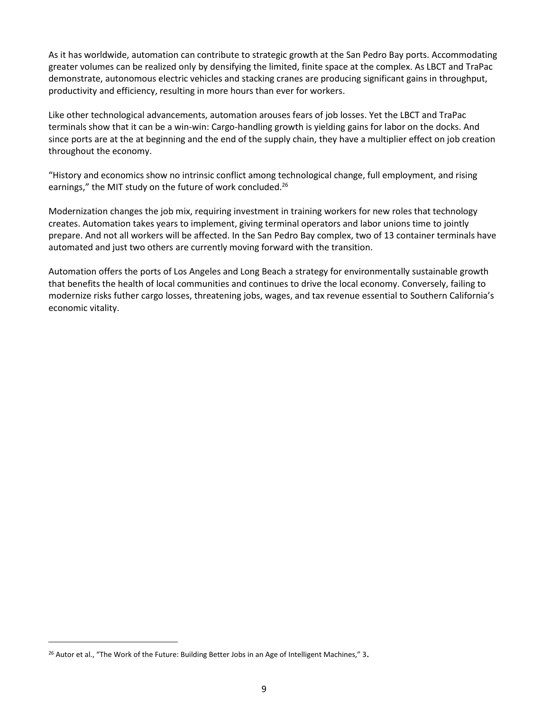As it has worldwide, automation can contribute to strategic growth at the San Pedro Bay ports. Accommodating greater volumes can be realized only by densifying the limited, finite space at the complex. As LBCT and TraPac demonstrate, autonomous electric vehicles and stacking cranes are producing significant gains in throughput, productivity and efficiency, resulting in more hours than ever for workers.

Like other technological advancements, automation arouses fears of job losses. Yet the LBCT and TraPac terminals show that it can be a win-win: Cargo-handling growth is yielding gains for labor on the docks. And since ports are at the at beginning and the end of the supply chain, they have a multiplier effect on job creation throughout the economy.

"History and economics show no intrinsic conflict among technological change, full employment, and rising earnings," the MIT study on the future of work concluded.<sup>26</sup>

Modernization changes the job mix, requiring investment in training workers for new roles that technology creates. Automation takes years to implement, giving terminal operators and labor unions time to jointly prepare. And not all workers will be affected. In the San Pedro Bay complex, two of 13 container terminals have automated and just two others are currently moving forward with the transition.

Automation offers the ports of Los Angeles and Long Beach a strategy for environmentally sustainable growth that benefits the health of local communities and continues to drive the local economy. Conversely, failing to modernize risks futher cargo losses, threatening jobs, wages, and tax revenue essential to Southern California's economic vitality.

<sup>&</sup>lt;sup>26</sup> Autor et al., "The Work of the Future: Building Better Jobs in an Age of Intelligent Machines," 3.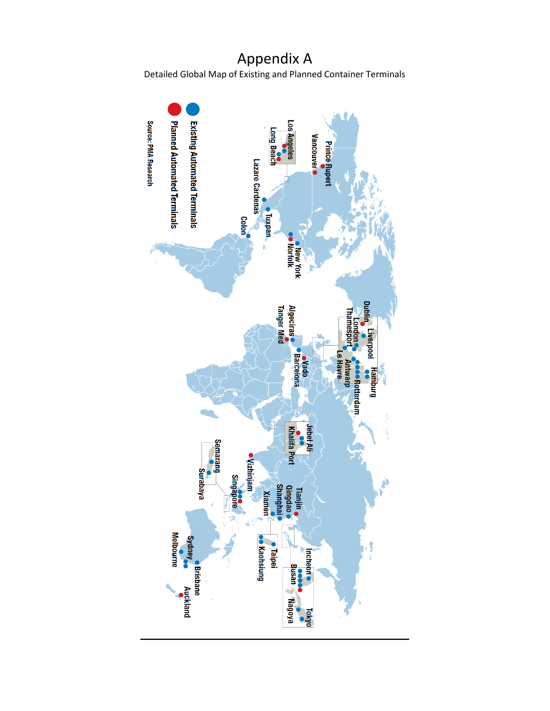## Appendix A Detailed Global Map of Existing and Planned Container Terminals